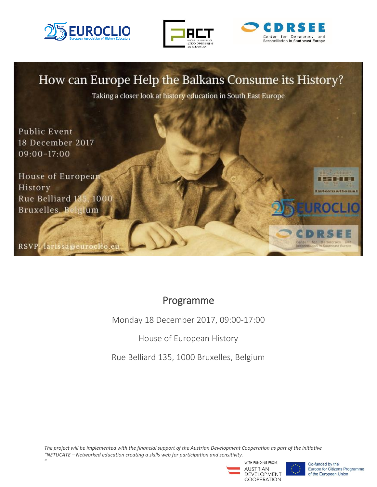

*"*







## Programme

Monday 18 December 2017, 09:00-17:00

House of European History

Rue Belliard 135, 1000 Bruxelles, Belgium

*The project will be implemented with the financial support of the Austrian Development Cooperation as part of the initiative "NETUCATE – Networked education creating a skills web for participation and sensitivity.*



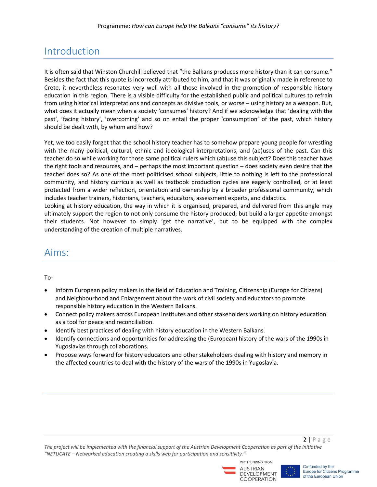# Introduction

It is often said that Winston Churchill believed that "the Balkans produces more history than it can consume." Besides the fact that this quote is incorrectly attributed to him, and that it was originally made in reference to Crete, it nevertheless resonates very well with all those involved in the promotion of responsible history education in this region. There is a visible difficulty for the established public and political cultures to refrain from using historical interpretations and concepts as divisive tools, or worse – using history as a weapon. But, what does it actually mean when a society 'consumes' history? And if we acknowledge that 'dealing with the past', 'facing history', 'overcoming' and so on entail the proper 'consumption' of the past, which history should be dealt with, by whom and how?

Yet, we too easily forget that the school history teacher has to somehow prepare young people for wrestling with the many political, cultural, ethnic and ideological interpretations, and (ab)uses of the past. Can this teacher do so while working for those same political rulers which (ab)use this subject? Does this teacher have the right tools and resources, and – perhaps the most important question – does society even desire that the teacher does so? As one of the most politicised school subjects, little to nothing is left to the professional community, and history curricula as well as textbook production cycles are eagerly controlled, or at least protected from a wider reflection, orientation and ownership by a broader professional community, which includes teacher trainers, historians, teachers, educators, assessment experts, and didactics.

Looking at history education, the way in which it is organised, prepared, and delivered from this angle may ultimately support the region to not only consume the history produced, but build a larger appetite amongst their students. Not however to simply 'get the narrative', but to be equipped with the complex understanding of the creation of multiple narratives.

### Aims:

#### To-

- Inform European policy makers in the field of Education and Training, Citizenship (Europe for Citizens) and Neighbourhood and Enlargement about the work of civil society and educators to promote responsible history education in the Western Balkans.
- Connect policy makers across European Institutes and other stakeholders working on history education as a tool for peace and reconciliation.
- Identify best practices of dealing with history education in the Western Balkans.
- Identify connections and opportunities for addressing the (European) history of the wars of the 1990s in Yugoslavias through collaborations.
- Propose ways forward for history educators and other stakeholders dealing with history and memory in the affected countries to deal with the history of the wars of the 1990s in Yugoslavia.

*The project will be implemented with the financial support of the Austrian Development Cooperation as part of the initiative "NETUCATE – Networked education creating a skills web for participation and sensitivity."*





 $2 | P \text{ age}$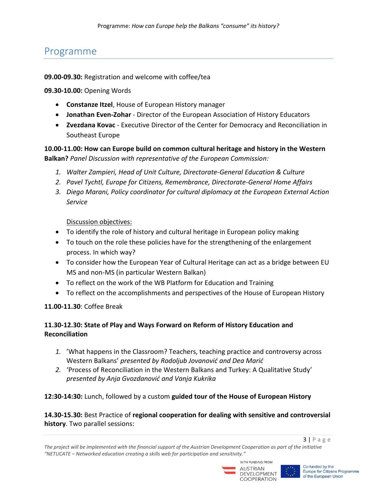### Programme

#### **09.00-09.30:** Registration and welcome with coffee/tea

**09.30-10.00:** Opening Words

- **Constanze Itzel**, House of European History manager
- **Jonathan Even-Zohar** Director of the European Association of History Educators
- **Zvezdana Kovac**  Executive Director of the Center for Democracy and Reconciliation in Southeast Europe

**10.00-11.00: How can Europe build on common cultural heritage and history in the Western Balkan?** *Panel Discussion with representative of the European Commission:*

- *1. Walter Zampieri, Head of Unit Culture, Directorate-General Education & Culture*
- *2. Pavel Tychtl, Europe for Citizens, Remembrance, Directorate-General Home Affairs*
- *3. Diego Marani, Policy coordinator for cultural diplomacy at the European External Action Service*

Discussion objectives:

- To identify the role of history and cultural heritage in European policy making
- To touch on the role these policies have for the strengthening of the enlargement process. In which way?
- To consider how the European Year of Cultural Heritage can act as a bridge between EU MS and non-MS (in particular Western Balkan)
- To reflect on the work of the WB Platform for Education and Training
- To reflect on the accomplishments and perspectives of the House of European History

**11.00-11.30**: Coffee Break

### **11.30-12.30: State of Play and Ways Forward on Reform of History Education and Reconciliation**

- *1.* 'What happens in the Classroom? Teachers, teaching practice and controversy across Western Balkans' *presented by Rodoljub Jovanović and Dea Marić*
- *2.* 'Process of Reconciliation in the Western Balkans and Turkey: A Qualitative Study' *presented by Anja Gvozdanović and Vanja Kukrika*

#### **12:30-14:30:** Lunch, followed by a custom **guided tour of the House of European History**

#### **14.30-15.30:** Best Practice of **regional cooperation for dealing with sensitive and controversial history**. Two parallel sessions:

*The project will be implemented with the financial support of the Austrian Development Cooperation as part of the initiative "NETUCATE – Networked education creating a skills web for participation and sensitivity."*





 $3 | P \text{ age}$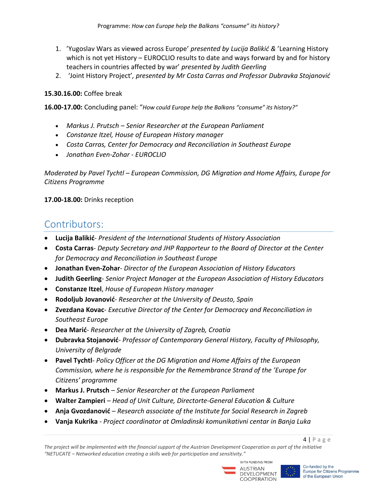- 1. 'Yugoslav Wars as viewed across Europe' *presented by Lucija Balikić &* 'Learning History which is not yet History – EUROCLIO results to date and ways forward by and for history teachers in countries affected by war' *presented by Judith Geerling*
- 2. 'Joint History Project'*, presented by Mr Costa Carras and Professor Dubravka Stojanović*

#### **[15.30.16.00:](http://15.30.16.0/)** Coffee break

**16.00-17.00:** Concluding panel: "*How could Europe help the Balkans "consume" its history?"*

- *Markus J. Prutsch – Senior Researcher at the European Parliament*
- *Constanze Itzel, House of European History manager*
- *Costa Carras, Center for Democracy and Reconciliation in Southeast Europe*
- *Jonathan Even-Zohar - EUROCLIO*

*Moderated by Pavel Tychtl – European Commission, DG Migration and Home Affairs, Europe for Citizens Programme*

**17.00-18.00:** Drinks reception

## Contributors:

- **Lucija Balikić** *President of the International Students of History Association*
- **Costa Carras** *Deputy Secretary and JHP Rapporteur to the Board of Director at the Center for Democracy and Reconciliation in Southeast Europe*
- **Jonathan Even-Zohar** *Director of the European Association of History Educators*
- **Judith Geerling** *Senior Project Manager at the European Association of History Educators*
- **Constanze Itzel**, *House of European History manager*
- **Rodoljub Jovanović** *Researcher at the University of Deusto, Spain*
- **Zvezdana Kovac** *Executive Director of the Center for Democracy and Reconciliation in Southeast Europe*
- **Dea Marić** *Researcher at the University of Zagreb, Croatia*
- **Dubravka Stojanović***- Professor of Contemporary General History, Faculty of Philosophy, University of Belgrade*
- **Pavel Tychtl** *Policy Officer at the DG Migration and Home Affairs of the European Commission, where he is responsible for the Remembrance Strand of the 'Europe for Citizens' programme*
- **Markus J. Prutsch** *– Senior Researcher at the European Parliament*
- **Walter Zampieri** *– Head of Unit Culture, Directorte-General Education & Culture*
- **Anja Gvozdanović** *– Research associate of the Institute for Social Research in Zagreb*
- **Vanja Kukrika** *- Project coordinator at Omladinski komunikativni centar in Banja Luka*

*The project will be implemented with the financial support of the Austrian Development Cooperation as part of the initiative "NETUCATE – Networked education creating a skills web for participation and sensitivity."*





 $4 | P \text{ age}$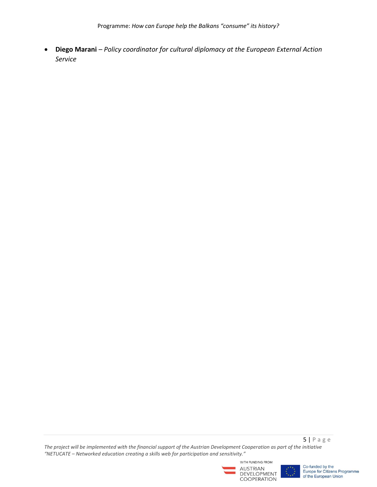**Diego Marani** *– Policy coordinator for cultural diplomacy at the European External Action Service*

5 | P a g e *The project will be implemented with the financial support of the Austrian Development Cooperation as part of the initiative "NETUCATE – Networked education creating a skills web for participation and sensitivity."*





Co-funded by the Europe for Citizens Programme of the European Union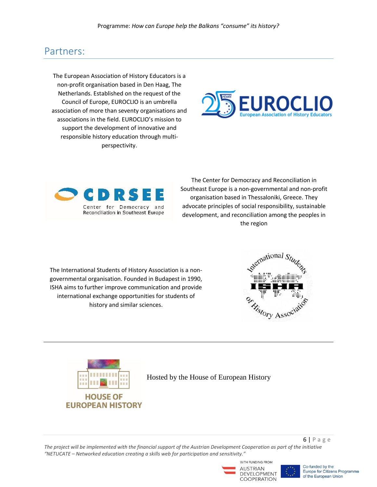## Partners:

The European Association of History Educators is a non-profit organisation based in Den Haag, The Netherlands. Established on the request of the Council of Europe, EUROCLIO is an umbrella association of more than seventy organisations and associations in the field. EUROCLIO's mission to support the development of innovative and responsible history education through multiperspectivity.





The Center for Democracy and Reconciliation in Southeast Europe is a non-governmental and non-profit organisation based in Thessaloniki, Greece. They advocate principles of social responsibility, sustainable development, and reconciliation among the peoples in the region

The International Students of History Association is a nongovernmental organisation. Founded in Budapest in 1990, ISHA aims to further improve communication and provide international exchange opportunities for students of history and similar sciences.





Hosted by the House of European History

*The project will be implemented with the financial support of the Austrian Development Cooperation as part of the initiative "NETUCATE – Networked education creating a skills web for participation and sensitivity."*







6 | P a g e